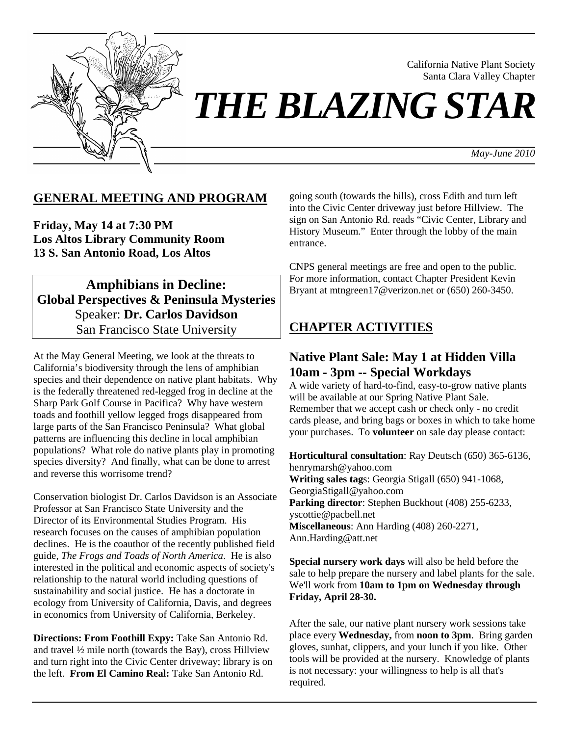

California Native Plant Society Santa Clara Valley Chapter

*THE BLAZING STAR* 

*May-June 2010*

## **GENERAL MEETING AND PROGRAM**

**Friday, May 14 at 7:30 PM Los Altos Library Community Room 13 S. San Antonio Road, Los Altos** 

**Amphibians in Decline: Global Perspectives & Peninsula Mysteries**  Speaker: **Dr. Carlos Davidson**  San Francisco State University

At the May General Meeting, we look at the threats to California's biodiversity through the lens of amphibian species and their dependence on native plant habitats. Why is the federally threatened red-legged frog in decline at the Sharp Park Golf Course in Pacifica? Why have western toads and foothill yellow legged frogs disappeared from large parts of the San Francisco Peninsula? What global patterns are influencing this decline in local amphibian populations? What role do native plants play in promoting species diversity? And finally, what can be done to arrest and reverse this worrisome trend?

Conservation biologist Dr. Carlos Davidson is an Associate Professor at San Francisco State University and the Director of its Environmental Studies Program. His research focuses on the causes of amphibian population declines. He is the coauthor of the recently published field guide, *The Frogs and Toads of North America*. He is also interested in the political and economic aspects of society's relationship to the natural world including questions of sustainability and social justice. He has a doctorate in ecology from University of California, Davis, and degrees in economics from University of California, Berkeley.

**Directions: From Foothill Expy:** Take San Antonio Rd. and travel ½ mile north (towards the Bay), cross Hillview and turn right into the Civic Center driveway; library is on the left. **From El Camino Real:** Take San Antonio Rd.

going south (towards the hills), cross Edith and turn left into the Civic Center driveway just before Hillview. The sign on San Antonio Rd. reads "Civic Center, Library and History Museum." Enter through the lobby of the main entrance.

CNPS general meetings are free and open to the public. For more information, contact Chapter President Kevin Bryant at mtngreen17@verizon.net or (650) 260-3450.

### **CHAPTER ACTIVITIES**

### **Native Plant Sale: May 1 at Hidden Villa 10am - 3pm -- Special Workdays**

A wide variety of hard-to-find, easy-to-grow native plants will be available at our Spring Native Plant Sale. Remember that we accept cash or check only - no credit cards please, and bring bags or boxes in which to take home your purchases. To **volunteer** on sale day please contact:

**Horticultural consultation**: Ray Deutsch (650) 365-6136, henrymarsh@yahoo.com **Writing sales tag**s: Georgia Stigall (650) 941-1068, GeorgiaStigall@yahoo.com **Parking director**: Stephen Buckhout (408) 255-6233, yscottie@pacbell.net **Miscellaneous**: Ann Harding (408) 260-2271, Ann.Harding@att.net

**Special nursery work days** will also be held before the sale to help prepare the nursery and label plants for the sale. We'll work from **10am to 1pm on Wednesday through Friday, April 28-30.** 

After the sale, our native plant nursery work sessions take place every **Wednesday,** from **noon to 3pm**. Bring garden gloves, sunhat, clippers, and your lunch if you like. Other tools will be provided at the nursery. Knowledge of plants is not necessary: your willingness to help is all that's required.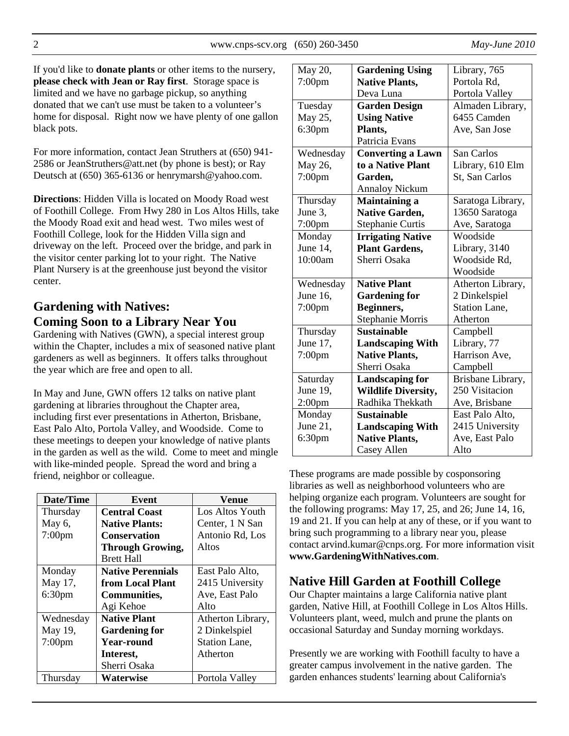If you'd like to **donate plants** or other items to the nursery, **please check with Jean or Ray first**. Storage space is limited and we have no garbage pickup, so anything donated that we can't use must be taken to a volunteer's home for disposal. Right now we have plenty of one gallon black pots.

For more information, contact Jean Struthers at (650) 941- 2586 or JeanStruthers@att.net (by phone is best); or Ray Deutsch at (650) 365-6136 or henrymarsh@yahoo.com.

**Directions**: Hidden Villa is located on Moody Road west of Foothill College. From Hwy 280 in Los Altos Hills, take the Moody Road exit and head west. Two miles west of Foothill College, look for the Hidden Villa sign and driveway on the left. Proceed over the bridge, and park in the visitor center parking lot to your right. The Native Plant Nursery is at the greenhouse just beyond the visitor center.

# **Gardening with Natives: Coming Soon to a Library Near You**

Gardening with Natives (GWN), a special interest group within the Chapter, includes a mix of seasoned native plant gardeners as well as beginners. It offers talks throughout the year which are free and open to all.

In May and June, GWN offers 12 talks on native plant gardening at libraries throughout the Chapter area, including first ever presentations in Atherton, Brisbane, East Palo Alto, Portola Valley, and Woodside. Come to these meetings to deepen your knowledge of native plants in the garden as well as the wild. Come to meet and mingle with like-minded people. Spread the word and bring a friend, neighbor or colleague.

| Date/Time          | Event                    | Venue             |
|--------------------|--------------------------|-------------------|
| Thursday           | <b>Central Coast</b>     | Los Altos Youth   |
| May $6$ ,          | <b>Native Plants:</b>    | Center, 1 N San   |
| $7:00$ pm          | <b>Conservation</b>      | Antonio Rd, Los   |
|                    | <b>Through Growing,</b>  | Altos             |
|                    | <b>Brett Hall</b>        |                   |
| Monday             | <b>Native Perennials</b> | East Palo Alto,   |
| May 17,            | from Local Plant         | 2415 University   |
| 6:30 <sub>pm</sub> | Communities,             | Ave, East Palo    |
|                    | Agi Kehoe                | Alto              |
| Wednesday          | <b>Native Plant</b>      | Atherton Library, |
| May 19,            | <b>Gardening for</b>     | 2 Dinkelspiel     |
| $7:00$ pm          | <b>Year-round</b>        | Station Lane,     |
|                    | Interest,                | Atherton          |
|                    | Sherri Osaka             |                   |
| Thursday           | <b>Waterwise</b>         | Portola Valley    |

| May 20,            | <b>Gardening Using</b>     | Library, 765         |  |
|--------------------|----------------------------|----------------------|--|
| $7:00$ pm          | <b>Native Plants,</b>      | Portola Rd,          |  |
|                    | Deva Luna                  | Portola Valley       |  |
| Tuesday            | <b>Garden Design</b>       | Almaden Library,     |  |
| May 25,            | <b>Using Native</b>        | 6455 Camden          |  |
| 6:30 <sub>pm</sub> | Plants,                    | Ave, San Jose        |  |
|                    | Patricia Evans             |                      |  |
| Wednesday          | <b>Converting a Lawn</b>   | San Carlos           |  |
| May 26,            | to a Native Plant          | Library, 610 Elm     |  |
| $7:00$ pm          | Garden,                    | St, San Carlos       |  |
|                    | <b>Annaloy Nickum</b>      |                      |  |
| Thursday           | <b>Maintaining a</b>       | Saratoga Library,    |  |
| June 3,            | <b>Native Garden,</b>      | 13650 Saratoga       |  |
| $7:00$ pm          | <b>Stephanie Curtis</b>    | Ave, Saratoga        |  |
| Monday             | <b>Irrigating Native</b>   | Woodside             |  |
| June 14,           | <b>Plant Gardens,</b>      | Library, 3140        |  |
| 10:00am            | Sherri Osaka               | Woodside Rd,         |  |
|                    |                            | Woodside             |  |
| Wednesday          | <b>Native Plant</b>        | Atherton Library,    |  |
| June 16,           | <b>Gardening for</b>       | 2 Dinkelspiel        |  |
| $7:00$ pm          | Beginners,                 | <b>Station Lane,</b> |  |
|                    | <b>Stephanie Morris</b>    | Atherton             |  |
| Thursday           | <b>Sustainable</b>         | Campbell             |  |
| June 17,           | <b>Landscaping With</b>    | Library, 77          |  |
| $7:00$ pm          | <b>Native Plants,</b>      | Harrison Ave,        |  |
|                    | Sherri Osaka               | Campbell             |  |
| Saturday           | <b>Landscaping for</b>     | Brisbane Library,    |  |
| June 19,           | <b>Wildlife Diversity,</b> | 250 Visitacion       |  |
| 2:00 <sub>pm</sub> | Radhika Thekkath           | Ave, Brisbane        |  |
| Monday             | <b>Sustainable</b>         | East Palo Alto,      |  |
| June 21.           | <b>Landscaping With</b>    | 2415 University      |  |
| 6:30 <sub>pm</sub> | <b>Native Plants,</b>      | Ave, East Palo       |  |
|                    | Casey Allen                | Alto                 |  |

These programs are made possible by cosponsoring libraries as well as neighborhood volunteers who are helping organize each program. Volunteers are sought for the following programs: May 17, 25, and 26; June 14, 16, 19 and 21. If you can help at any of these, or if you want to bring such programming to a library near you, please contact arvind.kumar@cnps.org. For more information visit **www.GardeningWithNatives.com**.

# **Native Hill Garden at Foothill College**

Our Chapter maintains a large California native plant garden, Native Hill, at Foothill College in Los Altos Hills. Volunteers plant, weed, mulch and prune the plants on occasional Saturday and Sunday morning workdays.

Presently we are working with Foothill faculty to have a greater campus involvement in the native garden. The garden enhances students' learning about California's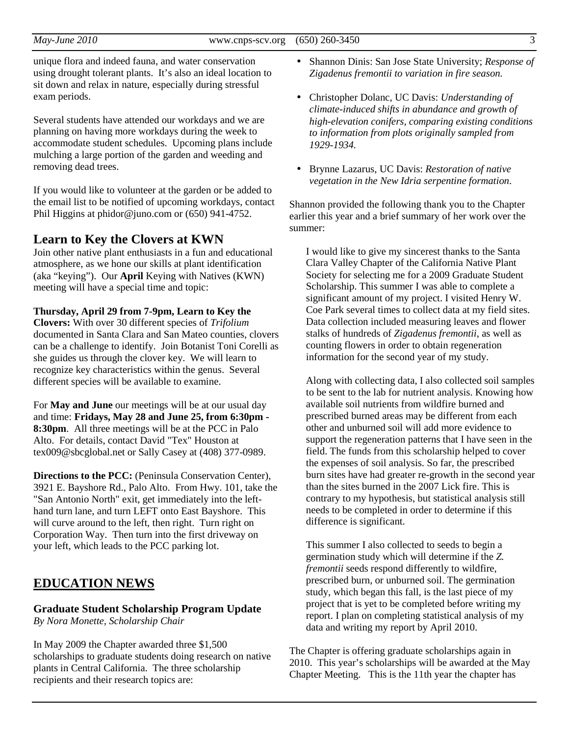unique flora and indeed fauna, and water conservation using drought tolerant plants. It's also an ideal location to sit down and relax in nature, especially during stressful exam periods.

Several students have attended our workdays and we are planning on having more workdays during the week to accommodate student schedules. Upcoming plans include mulching a large portion of the garden and weeding and removing dead trees.

If you would like to volunteer at the garden or be added to the email list to be notified of upcoming workdays, contact Phil Higgins at phidor@juno.com or (650) 941-4752.

### **Learn to Key the Clovers at KWN**

Join other native plant enthusiasts in a fun and educational atmosphere, as we hone our skills at plant identification (aka "keying"). Our **April** Keying with Natives (KWN) meeting will have a special time and topic:

### **Thursday, April 29 from 7-9pm, Learn to Key the**

**Clovers:** With over 30 different species of *Trifolium* documented in Santa Clara and San Mateo counties, clovers can be a challenge to identify. Join Botanist Toni Corelli as she guides us through the clover key. We will learn to recognize key characteristics within the genus. Several different species will be available to examine.

For **May and June** our meetings will be at our usual day and time: **Fridays, May 28 and June 25, from 6:30pm - 8:30pm**. All three meetings will be at the PCC in Palo Alto. For details, contact David "Tex" Houston at tex009@sbcglobal.net or Sally Casey at (408) 377-0989.

**Directions to the PCC:** (Peninsula Conservation Center), 3921 E. Bayshore Rd., Palo Alto. From Hwy. 101, take the "San Antonio North" exit, get immediately into the lefthand turn lane, and turn LEFT onto East Bayshore. This will curve around to the left, then right. Turn right on Corporation Way. Then turn into the first driveway on your left, which leads to the PCC parking lot.

### **EDUCATION NEWS**

#### **Graduate Student Scholarship Program Update**  *By Nora Monette, Scholarship Chair*

In May 2009 the Chapter awarded three \$1,500 scholarships to graduate students doing research on native plants in Central California. The three scholarship recipients and their research topics are:

- Shannon Dinis: San Jose State University; *Response of Zigadenus fremontii to variation in fire season.*
- Christopher Dolanc, UC Davis: *Understanding of climate-induced shifts in abundance and growth of high-elevation conifers, comparing existing conditions to information from plots originally sampled from 1929-1934.*
- Brynne Lazarus, UC Davis: *Restoration of native vegetation in the New Idria serpentine formation*.

Shannon provided the following thank you to the Chapter earlier this year and a brief summary of her work over the summer:

I would like to give my sincerest thanks to the Santa Clara Valley Chapter of the California Native Plant Society for selecting me for a 2009 Graduate Student Scholarship. This summer I was able to complete a significant amount of my project. I visited Henry W. Coe Park several times to collect data at my field sites. Data collection included measuring leaves and flower stalks of hundreds of *Zigadenus fremontii*, as well as counting flowers in order to obtain regeneration information for the second year of my study.

Along with collecting data, I also collected soil samples to be sent to the lab for nutrient analysis. Knowing how available soil nutrients from wildfire burned and prescribed burned areas may be different from each other and unburned soil will add more evidence to support the regeneration patterns that I have seen in the field. The funds from this scholarship helped to cover the expenses of soil analysis. So far, the prescribed burn sites have had greater re-growth in the second year than the sites burned in the 2007 Lick fire. This is contrary to my hypothesis, but statistical analysis still needs to be completed in order to determine if this difference is significant.

This summer I also collected to seeds to begin a germination study which will determine if the *Z. fremontii* seeds respond differently to wildfire, prescribed burn, or unburned soil. The germination study, which began this fall, is the last piece of my project that is yet to be completed before writing my report. I plan on completing statistical analysis of my data and writing my report by April 2010.

The Chapter is offering graduate scholarships again in 2010. This year's scholarships will be awarded at the May Chapter Meeting. This is the 11th year the chapter has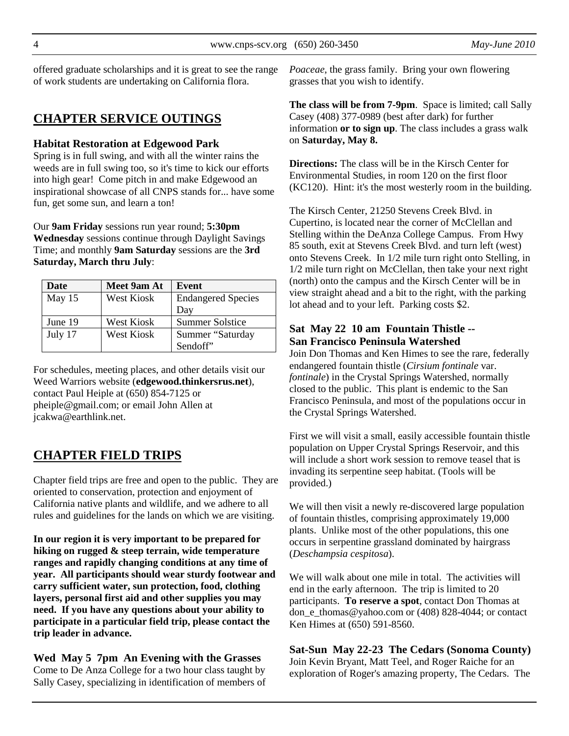offered graduate scholarships and it is great to see the range of work students are undertaking on California flora.

## **CHAPTER SERVICE OUTINGS**

#### **Habitat Restoration at Edgewood Park**

Spring is in full swing, and with all the winter rains the weeds are in full swing too, so it's time to kick our efforts into high gear! Come pitch in and make Edgewood an inspirational showcase of all CNPS stands for... have some fun, get some sun, and learn a ton!

Our **9am Friday** sessions run year round; **5:30pm Wednesday** sessions continue through Daylight Savings Time; and monthly **9am Saturday** sessions are the **3rd Saturday, March thru July**:

| Date    | Meet 9am At       | Event                     |
|---------|-------------------|---------------------------|
| May 15  | <b>West Kiosk</b> | <b>Endangered Species</b> |
|         |                   | Day                       |
| June 19 | <b>West Kiosk</b> | <b>Summer Solstice</b>    |
| July 17 | <b>West Kiosk</b> | Summer "Saturday          |
|         |                   | Sendoff"                  |

For schedules, meeting places, and other details visit our Weed Warriors website (**edgewood.thinkersrus.net**), contact Paul Heiple at (650) 854-7125 or pheiple@gmail.com; or email John Allen at jcakwa@earthlink.net.

# **CHAPTER FIELD TRIPS**

Chapter field trips are free and open to the public. They are oriented to conservation, protection and enjoyment of California native plants and wildlife, and we adhere to all rules and guidelines for the lands on which we are visiting.

**In our region it is very important to be prepared for hiking on rugged & steep terrain, wide temperature ranges and rapidly changing conditions at any time of year. All participants should wear sturdy footwear and carry sufficient water, sun protection, food, clothing layers, personal first aid and other supplies you may need. If you have any questions about your ability to participate in a particular field trip, please contact the trip leader in advance.** 

**Wed May 5 7pm An Evening with the Grasses**  Come to De Anza College for a two hour class taught by Sally Casey, specializing in identification of members of *Poaceae*, the grass family. Bring your own flowering grasses that you wish to identify.

**The class will be from 7-9pm**. Space is limited; call Sally Casey (408) 377-0989 (best after dark) for further information **or to sign up**. The class includes a grass walk on **Saturday, May 8.** 

**Directions:** The class will be in the Kirsch Center for Environmental Studies, in room 120 on the first floor (KC120). Hint: it's the most westerly room in the building.

The Kirsch Center, 21250 Stevens Creek Blvd. in Cupertino, is located near the corner of McClellan and Stelling within the DeAnza College Campus. From Hwy 85 south, exit at Stevens Creek Blvd. and turn left (west) onto Stevens Creek. In 1/2 mile turn right onto Stelling, in 1/2 mile turn right on McClellan, then take your next right (north) onto the campus and the Kirsch Center will be in view straight ahead and a bit to the right, with the parking lot ahead and to your left. Parking costs \$2.

### **Sat May 22 10 am Fountain Thistle -- San Francisco Peninsula Watershed**

Join Don Thomas and Ken Himes to see the rare, federally endangered fountain thistle (*Cirsium fontinale* var. *fontinale*) in the Crystal Springs Watershed, normally closed to the public. This plant is endemic to the San Francisco Peninsula, and most of the populations occur in the Crystal Springs Watershed.

First we will visit a small, easily accessible fountain thistle population on Upper Crystal Springs Reservoir, and this will include a short work session to remove teasel that is invading its serpentine seep habitat. (Tools will be provided.)

We will then visit a newly re-discovered large population of fountain thistles, comprising approximately 19,000 plants. Unlike most of the other populations, this one occurs in serpentine grassland dominated by hairgrass (*Deschampsia cespitosa*).

We will walk about one mile in total. The activities will end in the early afternoon. The trip is limited to 20 participants. **To reserve a spot**, contact Don Thomas at don\_e\_thomas@yahoo.com or (408) 828-4044; or contact Ken Himes at (650) 591-8560.

**Sat-Sun May 22-23 The Cedars (Sonoma County)**  Join Kevin Bryant, Matt Teel, and Roger Raiche for an exploration of Roger's amazing property, The Cedars. The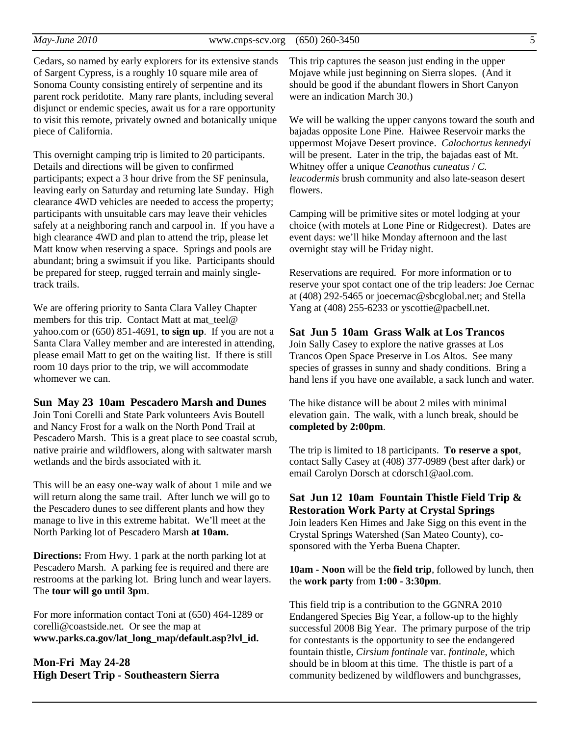Cedars, so named by early explorers for its extensive stands of Sargent Cypress, is a roughly 10 square mile area of Sonoma County consisting entirely of serpentine and its parent rock peridotite. Many rare plants, including several disjunct or endemic species, await us for a rare opportunity to visit this remote, privately owned and botanically unique piece of California.

This overnight camping trip is limited to 20 participants. Details and directions will be given to confirmed participants; expect a 3 hour drive from the SF peninsula, leaving early on Saturday and returning late Sunday. High clearance 4WD vehicles are needed to access the property; participants with unsuitable cars may leave their vehicles safely at a neighboring ranch and carpool in. If you have a high clearance 4WD and plan to attend the trip, please let Matt know when reserving a space. Springs and pools are abundant; bring a swimsuit if you like. Participants should be prepared for steep, rugged terrain and mainly singletrack trails.

We are offering priority to Santa Clara Valley Chapter members for this trip. Contact Matt at mat\_teel@ yahoo.com or (650) 851-4691, **to sign up**. If you are not a Santa Clara Valley member and are interested in attending, please email Matt to get on the waiting list. If there is still room 10 days prior to the trip, we will accommodate whomever we can.

#### **Sun May 23 10am Pescadero Marsh and Dunes**

Join Toni Corelli and State Park volunteers Avis Boutell and Nancy Frost for a walk on the North Pond Trail at Pescadero Marsh. This is a great place to see coastal scrub, native prairie and wildflowers, along with saltwater marsh wetlands and the birds associated with it.

This will be an easy one-way walk of about 1 mile and we will return along the same trail. After lunch we will go to the Pescadero dunes to see different plants and how they manage to live in this extreme habitat. We'll meet at the North Parking lot of Pescadero Marsh **at 10am.** 

**Directions:** From Hwy. 1 park at the north parking lot at Pescadero Marsh. A parking fee is required and there are restrooms at the parking lot. Bring lunch and wear layers. The **tour will go until 3pm**.

For more information contact Toni at (650) 464-1289 or corelli@coastside.net. Or see the map at **www.parks.ca.gov/lat\_long\_map/default.asp?lvl\_id.**

**Mon-Fri May 24-28 High Desert Trip - Southeastern Sierra** This trip captures the season just ending in the upper Mojave while just beginning on Sierra slopes. (And it should be good if the abundant flowers in Short Canyon were an indication March 30.)

We will be walking the upper canyons toward the south and bajadas opposite Lone Pine. Haiwee Reservoir marks the uppermost Mojave Desert province. *Calochortus kennedyi* will be present. Later in the trip, the bajadas east of Mt. Whitney offer a unique *Ceanothus cuneatus* / *C. leucodermis* brush community and also late-season desert flowers.

Camping will be primitive sites or motel lodging at your choice (with motels at Lone Pine or Ridgecrest). Dates are event days: we'll hike Monday afternoon and the last overnight stay will be Friday night.

Reservations are required. For more information or to reserve your spot contact one of the trip leaders: Joe Cernac at (408) 292-5465 or joecernac@sbcglobal.net; and Stella Yang at (408) 255-6233 or yscottie@pacbell.net.

#### **Sat Jun 5 10am Grass Walk at Los Trancos**

Join Sally Casey to explore the native grasses at Los Trancos Open Space Preserve in Los Altos. See many species of grasses in sunny and shady conditions. Bring a hand lens if you have one available, a sack lunch and water.

The hike distance will be about 2 miles with minimal elevation gain. The walk, with a lunch break, should be **completed by 2:00pm**.

The trip is limited to 18 participants. **To reserve a spot**, contact Sally Casey at (408) 377-0989 (best after dark) or email Carolyn Dorsch at cdorsch1@aol.com.

### **Sat Jun 12 10am Fountain Thistle Field Trip & Restoration Work Party at Crystal Springs**

Join leaders Ken Himes and Jake Sigg on this event in the Crystal Springs Watershed (San Mateo County), cosponsored with the Yerba Buena Chapter.

**10am - Noon** will be the **field trip**, followed by lunch, then the **work party** from **1:00 - 3:30pm**.

This field trip is a contribution to the GGNRA 2010 Endangered Species Big Year, a follow-up to the highly successful 2008 Big Year. The primary purpose of the trip for contestants is the opportunity to see the endangered fountain thistle, *Cirsium fontinale* var. *fontinale*, which should be in bloom at this time. The thistle is part of a community bedizened by wildflowers and bunchgrasses,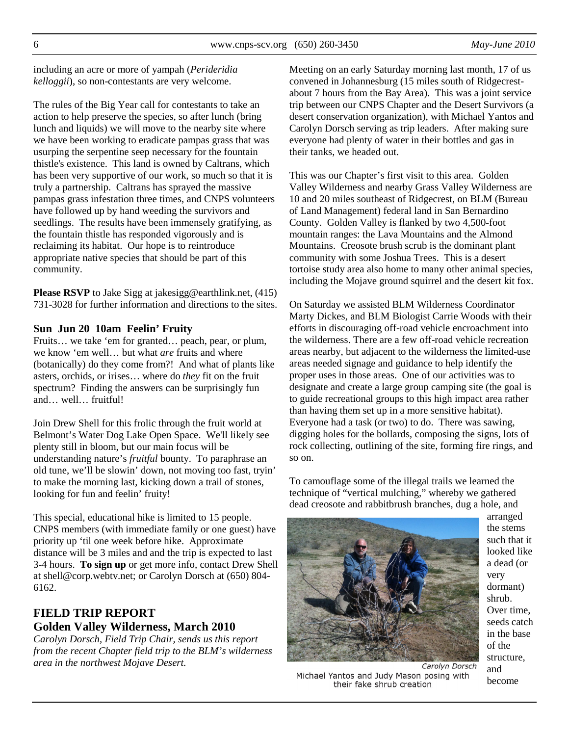including an acre or more of yampah (*Perideridia kelloggii*), so non-contestants are very welcome.

The rules of the Big Year call for contestants to take an action to help preserve the species, so after lunch (bring lunch and liquids) we will move to the nearby site where we have been working to eradicate pampas grass that was usurping the serpentine seep necessary for the fountain thistle's existence. This land is owned by Caltrans, which has been very supportive of our work, so much so that it is truly a partnership. Caltrans has sprayed the massive pampas grass infestation three times, and CNPS volunteers have followed up by hand weeding the survivors and seedlings. The results have been immensely gratifying, as the fountain thistle has responded vigorously and is reclaiming its habitat. Our hope is to reintroduce appropriate native species that should be part of this community.

**Please RSVP** to Jake Sigg at jakesigg@earthlink.net, (415) 731-3028 for further information and directions to the sites.

#### **Sun Jun 20 10am Feelin' Fruity**

Fruits… we take 'em for granted… peach, pear, or plum, we know 'em well… but what *are* fruits and where (botanically) do they come from?! And what of plants like asters, orchids, or irises… where do *they* fit on the fruit spectrum? Finding the answers can be surprisingly fun and… well… fruitful!

Join Drew Shell for this frolic through the fruit world at Belmont's Water Dog Lake Open Space. We'll likely see plenty still in bloom, but our main focus will be understanding nature's *fruitful* bounty. To paraphrase an old tune, we'll be slowin' down, not moving too fast, tryin' to make the morning last, kicking down a trail of stones, looking for fun and feelin' fruity!

This special, educational hike is limited to 15 people. CNPS members (with immediate family or one guest) have priority up 'til one week before hike. Approximate distance will be 3 miles and and the trip is expected to last 3-4 hours. **To sign up** or get more info, contact Drew Shell at shell@corp.webtv.net; or Carolyn Dorsch at (650) 804- 6162.

### **FIELD TRIP REPORT Golden Valley Wilderness, March 2010**

*Carolyn Dorsch, Field Trip Chair, sends us this report from the recent Chapter field trip to the BLM's wilderness area in the northwest Mojave Desert.* 

Meeting on an early Saturday morning last month, 17 of us convened in Johannesburg (15 miles south of Ridgecrestabout 7 hours from the Bay Area). This was a joint service trip between our CNPS Chapter and the Desert Survivors (a desert conservation organization), with Michael Yantos and Carolyn Dorsch serving as trip leaders. After making sure everyone had plenty of water in their bottles and gas in their tanks, we headed out.

This was our Chapter's first visit to this area. Golden Valley Wilderness and nearby Grass Valley Wilderness are 10 and 20 miles southeast of Ridgecrest, on BLM (Bureau of Land Management) federal land in San Bernardino County. Golden Valley is flanked by two 4,500-foot mountain ranges: the Lava Mountains and the Almond Mountains. Creosote brush scrub is the dominant plant community with some Joshua Trees. This is a desert tortoise study area also home to many other animal species, including the Mojave ground squirrel and the desert kit fox.

On Saturday we assisted BLM Wilderness Coordinator Marty Dickes, and BLM Biologist Carrie Woods with their efforts in discouraging off-road vehicle encroachment into the wilderness. There are a few off-road vehicle recreation areas nearby, but adjacent to the wilderness the limited-use areas needed signage and guidance to help identify the proper uses in those areas. One of our activities was to designate and create a large group camping site (the goal is to guide recreational groups to this high impact area rather than having them set up in a more sensitive habitat). Everyone had a task (or two) to do. There was sawing, digging holes for the bollards, composing the signs, lots of rock collecting, outlining of the site, forming fire rings, and so on.

To camouflage some of the illegal trails we learned the technique of "vertical mulching," whereby we gathered dead creosote and rabbitbrush branches, dug a hole, and



arranged the stems such that it looked like a dead (or very dormant) shrub. Over time, seeds catch in the base of the structure, and become

Michael Yantos and Judy Mason posing with their fake shrub creation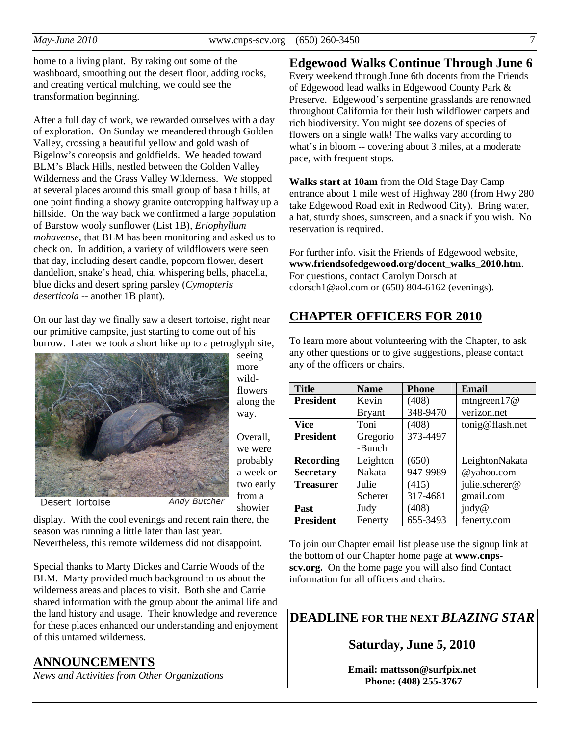home to a living plant. By raking out some of the washboard, smoothing out the desert floor, adding rocks, and creating vertical mulching, we could see the transformation beginning.

After a full day of work, we rewarded ourselves with a day of exploration. On Sunday we meandered through Golden Valley, crossing a beautiful yellow and gold wash of Bigelow's coreopsis and goldfields. We headed toward BLM's Black Hills, nestled between the Golden Valley Wilderness and the Grass Valley Wilderness. We stopped at several places around this small group of basalt hills, at one point finding a showy granite outcropping halfway up a hillside. On the way back we confirmed a large population of Barstow wooly sunflower (List 1B), *Eriophyllum mohavense*, that BLM has been monitoring and asked us to check on. In addition, a variety of wildflowers were seen that day, including desert candle, popcorn flower, desert dandelion, snake's head, chia, whispering bells, phacelia, blue dicks and desert spring parsley (*Cymopteris deserticola* -- another 1B plant).

On our last day we finally saw a desert tortoise, right near our primitive campsite, just starting to come out of his burrow. Later we took a short hike up to a petroglyph site,



seeing more wildflowers along the way.

Overall, we were probably a week or two early from a showier

**Desert Tortoise** 

display. With the cool evenings and recent rain there, the season was running a little later than last year.

Nevertheless, this remote wilderness did not disappoint.

Special thanks to Marty Dickes and Carrie Woods of the BLM. Marty provided much background to us about the wilderness areas and places to visit. Both she and Carrie shared information with the group about the animal life and the land history and usage. Their knowledge and reverence for these places enhanced our understanding and enjoyment of this untamed wilderness.

### **ANNOUNCEMENTS**

*News and Activities from Other Organizations*

### **Edgewood Walks Continue Through June 6**

Every weekend through June 6th docents from the Friends of Edgewood lead walks in Edgewood County Park & Preserve. Edgewood's serpentine grasslands are renowned throughout California for their lush wildflower carpets and rich biodiversity. You might see dozens of species of flowers on a single walk! The walks vary according to what's in bloom -- covering about 3 miles, at a moderate pace, with frequent stops.

**Walks start at 10am** from the Old Stage Day Camp entrance about 1 mile west of Highway 280 (from Hwy 280 take Edgewood Road exit in Redwood City). Bring water, a hat, sturdy shoes, sunscreen, and a snack if you wish. No reservation is required.

For further info. visit the Friends of Edgewood website, **www.friendsofedgewood.org/docent\_walks\_2010.htm**. For questions, contact Carolyn Dorsch at cdorsch1@aol.com or (650) 804-6162 (evenings).

# **CHAPTER OFFICERS FOR 2010**

To learn more about volunteering with the Chapter, to ask any other questions or to give suggestions, please contact any of the officers or chairs.

| <b>Title</b>     | <b>Name</b>   | <b>Phone</b> | Email           |
|------------------|---------------|--------------|-----------------|
| <b>President</b> | Kevin         | (408)        | mtngreen $17@$  |
|                  | <b>Bryant</b> | 348-9470     | verizon.net     |
| <b>Vice</b>      | Toni          | (408)        | tonig@flash.net |
| <b>President</b> | Gregorio      | 373-4497     |                 |
|                  | -Bunch        |              |                 |
| <b>Recording</b> | Leighton      | (650)        | LeightonNakata  |
| <b>Secretary</b> | Nakata        | 947-9989     | @yahoo.com      |
| <b>Treasurer</b> | Julie         | (415)        | julie.scherer@  |
|                  | Scherer       | 317-4681     | gmail.com       |
| Past             | Judy          | (408)        | judy@           |
| <b>President</b> | Fenerty       | 655-3493     | fenerty.com     |

To join our Chapter email list please use the signup link at the bottom of our Chapter home page at **www.cnpsscv.org.** On the home page you will also find Contact information for all officers and chairs.

**DEADLINE FOR THE NEXT** *BLAZING STAR* 

### **Saturday, June 5, 2010**

**Email: mattsson@surfpix.net Phone: (408) 255-3767**